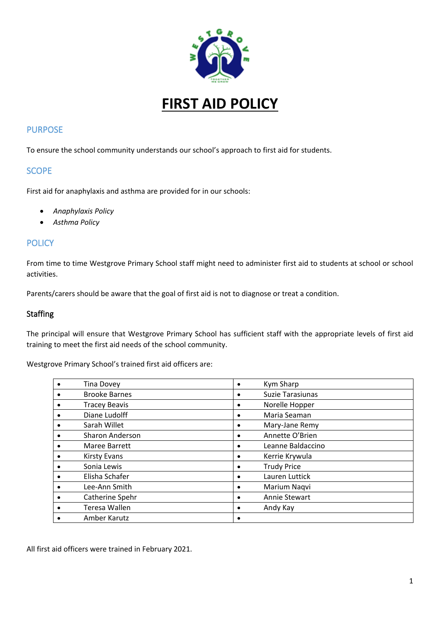

**FIRST AID POLICY**

### PURPOSE

To ensure the school community understands our school's approach to first aid for students.

#### **SCOPE**

First aid for anaphylaxis and asthma are provided for in our schools:

- *Anaphylaxis Policy*
- *Asthma Policy*

### **POLICY**

From time to time Westgrove Primary School staff might need to administer first aid to students at school or school activities.

Parents/carers should be aware that the goal of first aid is not to diagnose or treat a condition.

#### Staffing

The principal will ensure that Westgrove Primary School has sufficient staff with the appropriate levels of first aid training to meet the first aid needs of the school community.

Westgrove Primary School's trained first aid officers are:

| <b>Tina Dovey</b>      | $\bullet$ | Kym Sharp          |
|------------------------|-----------|--------------------|
| <b>Brooke Barnes</b>   | ٠         | Suzie Tarasiunas   |
| <b>Tracey Beavis</b>   | ٠         | Norelle Hopper     |
| Diane Ludolff          | $\bullet$ | Maria Seaman       |
| Sarah Willet           | ٠         | Mary-Jane Remy     |
| <b>Sharon Anderson</b> | ٠         | Annette O'Brien    |
| Maree Barrett          | ٠         | Leanne Baldaccino  |
| <b>Kirsty Evans</b>    | ٠         | Kerrie Krywula     |
| Sonia Lewis            | ٠         | <b>Trudy Price</b> |
| Elisha Schafer         | $\bullet$ | Lauren Luttick     |
| Lee-Ann Smith          | ٠         | Marium Nagvi       |
| Catherine Spehr        | ٠         | Annie Stewart      |
| Teresa Wallen          | ٠         | Andy Kay           |
| Amber Karutz           | ٠         |                    |

All first aid officers were trained in February 2021.